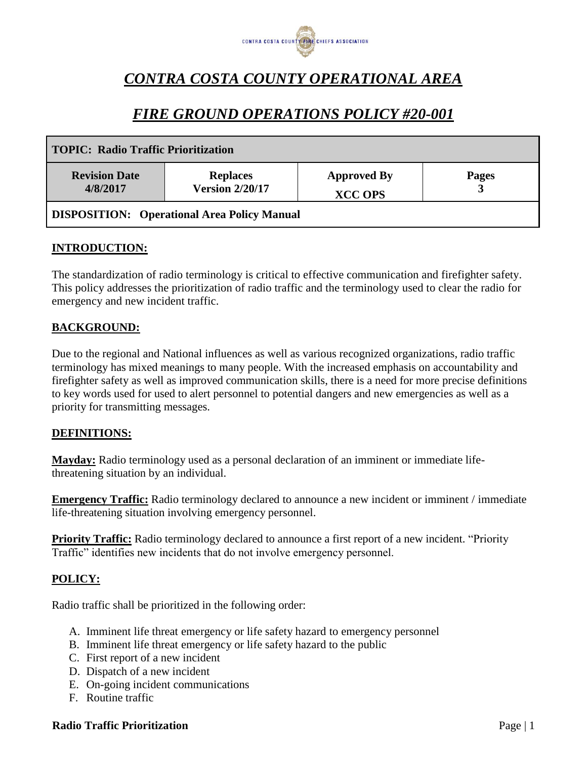

# *CONTRA COSTA COUNTY OPERATIONAL AREA*

## *FIRE GROUND OPERATIONS POLICY #20-001*

| <b>TOPIC: Radio Traffic Prioritization</b>         |                                           |                                      |              |
|----------------------------------------------------|-------------------------------------------|--------------------------------------|--------------|
| <b>Revision Date</b><br>4/8/2017                   | <b>Replaces</b><br><b>Version 2/20/17</b> | <b>Approved By</b><br><b>XCC OPS</b> | <b>Pages</b> |
| <b>DISPOSITION:</b> Operational Area Policy Manual |                                           |                                      |              |

## **INTRODUCTION:**

The standardization of radio terminology is critical to effective communication and firefighter safety. This policy addresses the prioritization of radio traffic and the terminology used to clear the radio for emergency and new incident traffic.

#### **BACKGROUND:**

Due to the regional and National influences as well as various recognized organizations, radio traffic terminology has mixed meanings to many people. With the increased emphasis on accountability and firefighter safety as well as improved communication skills, there is a need for more precise definitions to key words used for used to alert personnel to potential dangers and new emergencies as well as a priority for transmitting messages.

#### **DEFINITIONS:**

**Mayday:** Radio terminology used as a personal declaration of an imminent or immediate lifethreatening situation by an individual.

**Emergency Traffic:** Radio terminology declared to announce a new incident or imminent / immediate life-threatening situation involving emergency personnel.

**Priority Traffic:** Radio terminology declared to announce a first report of a new incident. "Priority Traffic" identifies new incidents that do not involve emergency personnel.

#### **POLICY:**

Radio traffic shall be prioritized in the following order:

- A. Imminent life threat emergency or life safety hazard to emergency personnel
- B. Imminent life threat emergency or life safety hazard to the public
- C. First report of a new incident
- D. Dispatch of a new incident
- E. On-going incident communications
- F. Routine traffic

#### **Radio Traffic Prioritization** Page | 1